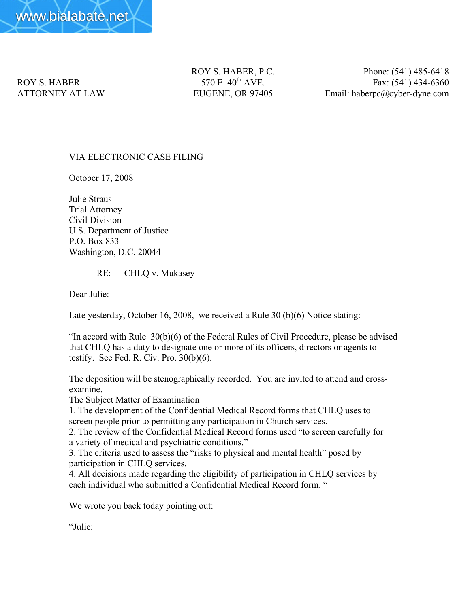

ROY S. HABER, P.C. Phone: (541) 485-6418 ROY S. HABER 570 E.  $40^{th}$  AVE. Fax: (541) 434-6360 ATTORNEY AT LAW EUGENE, OR 97405 Email: haberpc@cyber-dyne.com

## VIA ELECTRONIC CASE FILING

October 17, 2008

Julie Straus Trial Attorney Civil Division U.S. Department of Justice P.O. Box 833 Washington, D.C. 20044

RE: CHLQ v. Mukasey

Dear Julie:

Late yesterday, October 16, 2008, we received a Rule 30 (b)(6) Notice stating:

"In accord with Rule 30(b)(6) of the Federal Rules of Civil Procedure, please be advised that CHLQ has a duty to designate one or more of its officers, directors or agents to testify. See Fed. R. Civ. Pro.  $30(b)(6)$ .

The deposition will be stenographically recorded. You are invited to attend and crossexamine.

The Subject Matter of Examination

1. The development of the Confidential Medical Record forms that CHLQ uses to screen people prior to permitting any participation in Church services.

2. The review of the Confidential Medical Record forms used "to screen carefully for a variety of medical and psychiatric conditions."

3. The criteria used to assess the "risks to physical and mental health" posed by participation in CHLQ services.

4. All decisions made regarding the eligibility of participation in CHLQ services by each individual who submitted a Confidential Medical Record form. "

We wrote you back today pointing out:

"Julie: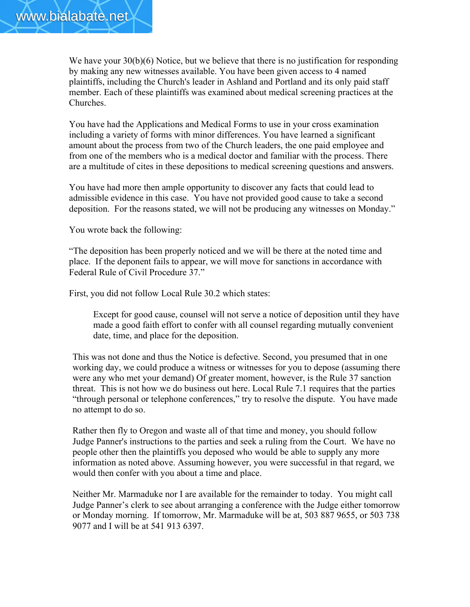

We have your 30(b)(6) Notice, but we believe that there is no justification for responding by making any new witnesses available. You have been given access to 4 named plaintiffs, including the Church's leader in Ashland and Portland and its only paid staff member. Each of these plaintiffs was examined about medical screening practices at the Churches.

You have had the Applications and Medical Forms to use in your cross examination including a variety of forms with minor differences. You have learned a significant amount about the process from two of the Church leaders, the one paid employee and from one of the members who is a medical doctor and familiar with the process. There are a multitude of cites in these depositions to medical screening questions and answers.

You have had more then ample opportunity to discover any facts that could lead to admissible evidence in this case. You have not provided good cause to take a second deposition. For the reasons stated, we will not be producing any witnesses on Monday."

You wrote back the following:

"The deposition has been properly noticed and we will be there at the noted time and place. If the deponent fails to appear, we will move for sanctions in accordance with Federal Rule of Civil Procedure 37."

First, you did not follow Local Rule 30.2 which states:

Except for good cause, counsel will not serve a notice of deposition until they have made a good faith effort to confer with all counsel regarding mutually convenient date, time, and place for the deposition.

This was not done and thus the Notice is defective. Second, you presumed that in one working day, we could produce a witness or witnesses for you to depose (assuming there were any who met your demand) Of greater moment, however, is the Rule 37 sanction threat. This is not how we do business out here. Local Rule 7.1 requires that the parties "through personal or telephone conferences," try to resolve the dispute. You have made no attempt to do so.

Rather then fly to Oregon and waste all of that time and money, you should follow Judge Panner's instructions to the parties and seek a ruling from the Court. We have no people other then the plaintiffs you deposed who would be able to supply any more information as noted above. Assuming however, you were successful in that regard, we would then confer with you about a time and place.

Neither Mr. Marmaduke nor I are available for the remainder to today. You might call Judge Panner's clerk to see about arranging a conference with the Judge either tomorrow or Monday morning. If tomorrow, Mr. Marmaduke will be at, 503 887 9655, or 503 738 9077 and I will be at 541 913 6397.